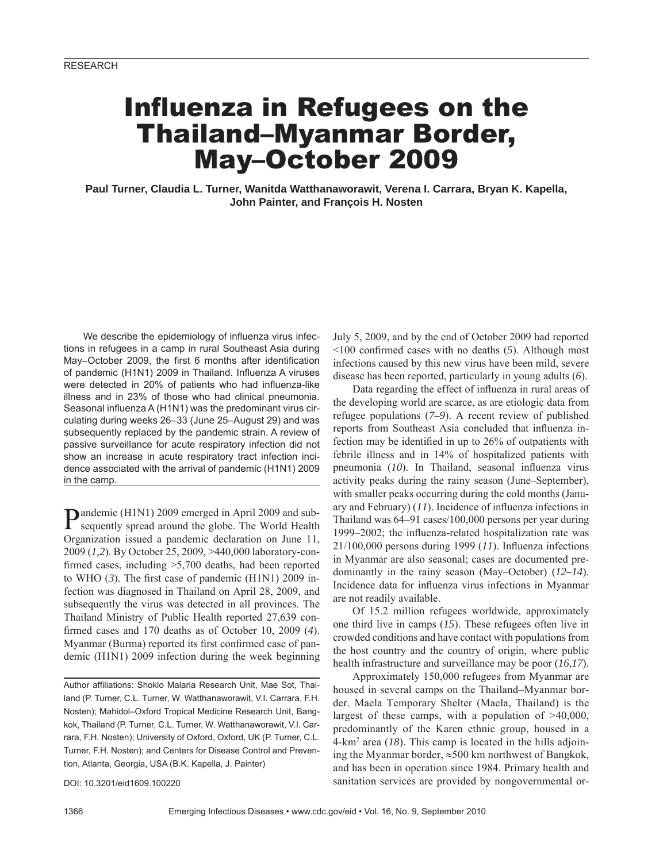# Influenza in Refugees on the Thailand–Myanmar Border, May–October 2009

**Paul Turner, Claudia L. Turner, Wanitda Watthanaworawit, Verena I. Carrara, Bryan K. Kapella, John Painter, and François H. Nosten**

We describe the epidemiology of influenza virus infections in refugees in a camp in rural Southeast Asia during May–October 2009, the first 6 months after identification of pandemic (H1N1) 2009 in Thailand. Influenza A viruses were detected in 20% of patients who had influenza-like illness and in 23% of those who had clinical pneumonia. Seasonal influenza A (H1N1) was the predominant virus circulating during weeks 26–33 (June 25–August 29) and was subsequently replaced by the pandemic strain. A review of passive surveillance for acute respiratory infection did not show an increase in acute respiratory tract infection incidence associated with the arrival of pandemic (H1N1) 2009 in the camp.

Pandemic (H1N1) 2009 emerged in April 2009 and sub-sequently spread around the globe. The World Health Organization issued a pandemic declaration on June 11, 2009 (*1,2*). By October 25, 2009, >440,000 laboratory-confirmed cases, including  $>5,700$  deaths, had been reported to WHO  $(3)$ . The first case of pandemic  $(H1N1)$  2009 infection was diagnosed in Thailand on April 28, 2009, and subsequently the virus was detected in all provinces. The Thailand Ministry of Public Health reported 27,639 confirmed cases and 170 deaths as of October 10, 2009 (4). Myanmar (Burma) reported its first confirmed case of pandemic (H1N1) 2009 infection during the week beginning

DOI: 10.3201/eid1609.100220

July 5, 2009, and by the end of October 2009 had reported  $\leq$ 100 confirmed cases with no deaths (5). Although most infections caused by this new virus have been mild, severe disease has been reported, particularly in young adults (*6*).

Data regarding the effect of influenza in rural areas of the developing world are scarce, as are etiologic data from refugee populations (*7–9*). A recent review of published reports from Southeast Asia concluded that influenza infection may be identified in up to  $26\%$  of outpatients with febrile illness and in 14% of hospitalized patients with pneumonia (10). In Thailand, seasonal influenza virus activity peaks during the rainy season (June–September), with smaller peaks occurring during the cold months (January and February) (11). Incidence of influenza infections in Thailand was 64–91 cases/100,000 persons per year during 1999–2002; the influenza-related hospitalization rate was  $21/100,000$  persons during 1999 ( $11$ ). Influenza infections in Myanmar are also seasonal; cases are documented predominantly in the rainy season (May–October) (*12–14*). Incidence data for influenza virus infections in Myanmar are not readily available.

Of 15.2 million refugees worldwide, approximately one third live in camps (*15*). These refugees often live in crowded conditions and have contact with populations from the host country and the country of origin, where public health infrastructure and surveillance may be poor (*16,17*).

Approximately 150,000 refugees from Myanmar are housed in several camps on the Thailand–Myanmar border. Maela Temporary Shelter (Maela, Thailand) is the largest of these camps, with a population of  $>40,000$ , predominantly of the Karen ethnic group, housed in a 4-km2 area (*18*). This camp is located in the hills adjoining the Myanmar border, ≈500 km northwest of Bangkok, and has been in operation since 1984. Primary health and sanitation services are provided by nongovernmental or-

Author affiliations: Shoklo Malaria Research Unit, Mae Sot, Thailand (P. Turner, C.L. Turner, W. Watthanaworawit, V.I. Carrara, F.H. Nosten); Mahidol–Oxford Tropical Medicine Research Unit, Bangkok, Thailand (P. Turner, C.L. Turner, W. Watthanaworawit, V.I. Carrara, F.H. Nosten); University of Oxford, Oxford, UK (P. Turner, C.L. Turner, F.H. Nosten); and Centers for Disease Control and Prevention, Atlanta, Georgia, USA (B.K. Kapella, J. Painter)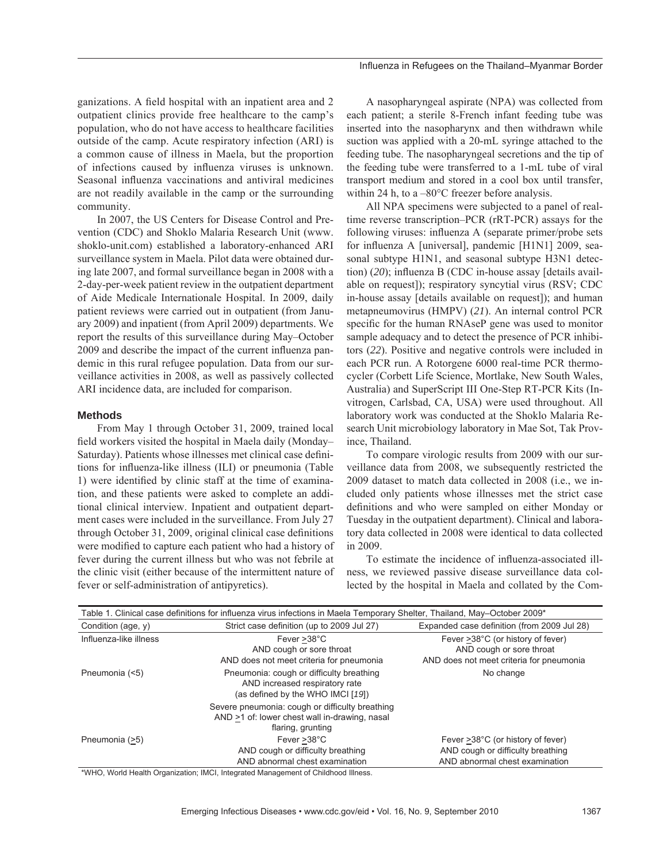ganizations. A field hospital with an inpatient area and 2 outpatient clinics provide free healthcare to the camp's population, who do not have access to healthcare facilities outside of the camp. Acute respiratory infection (ARI) is a common cause of illness in Maela, but the proportion of infections caused by influenza viruses is unknown. Seasonal influenza vaccinations and antiviral medicines are not readily available in the camp or the surrounding community.

In 2007, the US Centers for Disease Control and Prevention (CDC) and Shoklo Malaria Research Unit (www. shoklo-unit.com) established a laboratory-enhanced ARI surveillance system in Maela. Pilot data were obtained during late 2007, and formal surveillance began in 2008 with a 2-day-per-week patient review in the outpatient department of Aide Medicale Internationale Hospital. In 2009, daily patient reviews were carried out in outpatient (from January 2009) and inpatient (from April 2009) departments. We report the results of this surveillance during May–October 2009 and describe the impact of the current influenza pandemic in this rural refugee population. Data from our surveillance activities in 2008, as well as passively collected ARI incidence data, are included for comparison.

## **Methods**

From May 1 through October 31, 2009, trained local field workers visited the hospital in Maela daily (Monday– Saturday). Patients whose illnesses met clinical case definitions for influenza-like illness (ILI) or pneumonia (Table 1) were identified by clinic staff at the time of examination, and these patients were asked to complete an additional clinical interview. Inpatient and outpatient department cases were included in the surveillance. From July 27 through October 31, 2009, original clinical case definitions were modified to capture each patient who had a history of fever during the current illness but who was not febrile at the clinic visit (either because of the intermittent nature of fever or self-administration of antipyretics).

A nasopharyngeal aspirate (NPA) was collected from each patient; a sterile 8-French infant feeding tube was inserted into the nasopharynx and then withdrawn while suction was applied with a 20-mL syringe attached to the feeding tube. The nasopharyngeal secretions and the tip of the feeding tube were transferred to a 1-mL tube of viral transport medium and stored in a cool box until transfer, within 24 h, to a –80°C freezer before analysis.

All NPA specimens were subjected to a panel of realtime reverse transcription–PCR (rRT-PCR) assays for the following viruses: influenza A (separate primer/probe sets for influenza A [universal], pandemic [H1N1] 2009, seasonal subtype H1N1, and seasonal subtype H3N1 detection) (20); influenza B (CDC in-house assay [details available on request]); respiratory syncytial virus (RSV; CDC in-house assay [details available on request]); and human metapneumovirus (HMPV) (*21*). An internal control PCR specific for the human RNAseP gene was used to monitor sample adequacy and to detect the presence of PCR inhibitors (*22*). Positive and negative controls were included in each PCR run. A Rotorgene 6000 real-time PCR thermocycler (Corbett Life Science, Mortlake, New South Wales, Australia) and SuperScript III One-Step RT-PCR Kits (Invitrogen, Carlsbad, CA, USA) were used throughout. All laboratory work was conducted at the Shoklo Malaria Research Unit microbiology laboratory in Mae Sot, Tak Province, Thailand.

To compare virologic results from 2009 with our surveillance data from 2008, we subsequently restricted the 2009 dataset to match data collected in 2008 (i.e., we included only patients whose illnesses met the strict case definitions and who were sampled on either Monday or Tuesday in the outpatient department). Clinical and laboratory data collected in 2008 were identical to data collected in 2009.

To estimate the incidence of influenza-associated illness, we reviewed passive disease surveillance data collected by the hospital in Maela and collated by the Com-

| Table 1. Clinical case definitions for influenza virus infections in Maela Temporary Shelter, Thailand, May–October 2009* |                                                                                                                       |                                                                                                                    |  |  |
|---------------------------------------------------------------------------------------------------------------------------|-----------------------------------------------------------------------------------------------------------------------|--------------------------------------------------------------------------------------------------------------------|--|--|
| Condition (age, y)                                                                                                        | Strict case definition (up to 2009 Jul 27)                                                                            | Expanded case definition (from 2009 Jul 28)                                                                        |  |  |
| Influenza-like illness                                                                                                    | Fever $>38^{\circ}$ C<br>AND cough or sore throat<br>AND does not meet criteria for pneumonia                         | Fever >38°C (or history of fever)<br>AND cough or sore throat<br>AND does not meet criteria for pneumonia          |  |  |
| Pneumonia (<5)                                                                                                            | Pneumonia: cough or difficulty breathing<br>AND increased respiratory rate<br>(as defined by the WHO IMCI [19])       | No change                                                                                                          |  |  |
|                                                                                                                           | Severe pneumonia: cough or difficulty breathing<br>AND >1 of: lower chest wall in-drawing, nasal<br>flaring, grunting |                                                                                                                    |  |  |
| Pneumonia (>5)                                                                                                            | Fever $>38^{\circ}$ C<br>AND cough or difficulty breathing<br>AND abnormal chest examination                          | Fever $>38^{\circ}$ C (or history of fever)<br>AND cough or difficulty breathing<br>AND abnormal chest examination |  |  |

\*WHO, World Health Organization; IMCI, Integrated Management of Childhood Illness.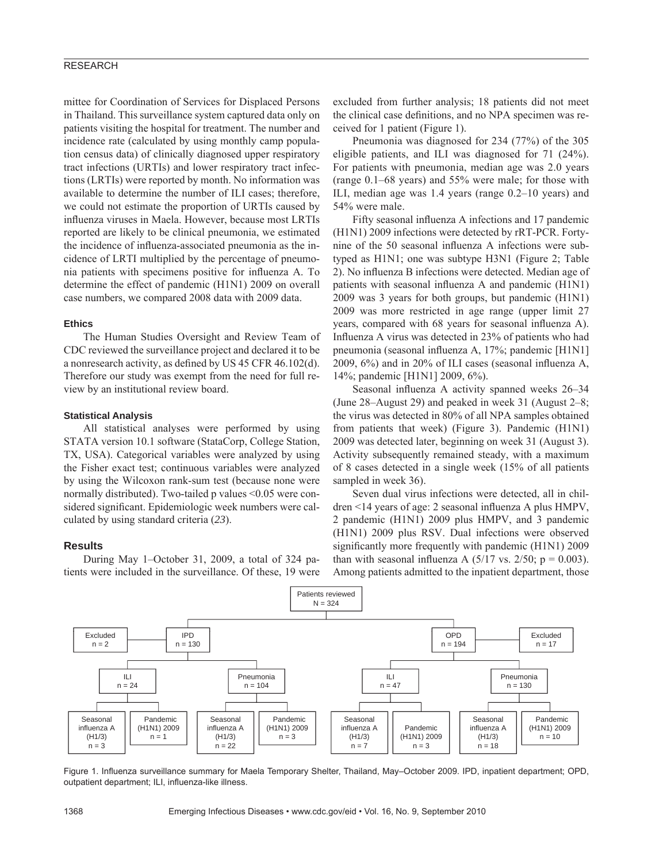# RESEARCH

mittee for Coordination of Services for Displaced Persons in Thailand. This surveillance system captured data only on patients visiting the hospital for treatment. The number and incidence rate (calculated by using monthly camp population census data) of clinically diagnosed upper respiratory tract infections (URTIs) and lower respiratory tract infections (LRTIs) were reported by month. No information was available to determine the number of ILI cases; therefore, we could not estimate the proportion of URTIs caused by influenza viruses in Maela. However, because most LRTIs reported are likely to be clinical pneumonia, we estimated the incidence of influenza-associated pneumonia as the incidence of LRTI multiplied by the percentage of pneumonia patients with specimens positive for influenza A. To determine the effect of pandemic (H1N1) 2009 on overall case numbers, we compared 2008 data with 2009 data.

#### **Ethics**

The Human Studies Oversight and Review Team of CDC reviewed the surveillance project and declared it to be a nonresearch activity, as defined by US 45 CFR 46.102(d). Therefore our study was exempt from the need for full review by an institutional review board.

#### **Statistical Analysis**

All statistical analyses were performed by using STATA version 10.1 software (StataCorp, College Station, TX, USA). Categorical variables were analyzed by using the Fisher exact test; continuous variables were analyzed by using the Wilcoxon rank-sum test (because none were normally distributed). Two-tailed p values <0.05 were considered significant. Epidemiologic week numbers were calculated by using standard criteria (*23*).

#### **Results**

During May 1–October 31, 2009, a total of 324 patients were included in the surveillance. Of these, 19 were

excluded from further analysis; 18 patients did not meet the clinical case definitions, and no NPA specimen was received for 1 patient (Figure 1).

Pneumonia was diagnosed for 234 (77%) of the 305 eligible patients, and ILI was diagnosed for 71 (24%). For patients with pneumonia, median age was 2.0 years (range 0.1–68 years) and 55% were male; for those with ILI, median age was 1.4 years (range 0.2–10 years) and 54% were male.

Fifty seasonal influenza A infections and 17 pandemic (H1N1) 2009 infections were detected by rRT-PCR. Fortynine of the 50 seasonal influenza A infections were subtyped as H1N1; one was subtype H3N1 (Figure 2; Table 2). No influenza B infections were detected. Median age of patients with seasonal influenza A and pandemic  $(H1N1)$ 2009 was 3 years for both groups, but pandemic (H1N1) 2009 was more restricted in age range (upper limit 27 years, compared with 68 years for seasonal influenza A). Influenza A virus was detected in 23% of patients who had pneumonia (seasonal influenza A, 17%; pandemic [H1N1] 2009,  $6\%$ ) and in 20% of ILI cases (seasonal influenza A, 14%; pandemic [H1N1] 2009, 6%).

Seasonal influenza A activity spanned weeks 26–34 (June 28–August 29) and peaked in week 31 (August 2–8; the virus was detected in 80% of all NPA samples obtained from patients that week) (Figure 3). Pandemic (H1N1) 2009 was detected later, beginning on week 31 (August 3). Activity subsequently remained steady, with a maximum of 8 cases detected in a single week (15% of all patients sampled in week 36).

Seven dual virus infections were detected, all in chil $d$ ren <14 years of age: 2 seasonal influenza A plus HMPV, 2 pandemic (H1N1) 2009 plus HMPV, and 3 pandemic (H1N1) 2009 plus RSV. Dual infections were observed significantly more frequently with pandemic (H1N1) 2009 than with seasonal influenza A (5/17 vs. 2/50;  $p = 0.003$ ). Among patients admitted to the inpatient department, those



Figure 1. Influenza surveillance summary for Maela Temporary Shelter, Thailand, May–October 2009. IPD, inpatient department; OPD, outpatient department; ILI, influenza-like illness.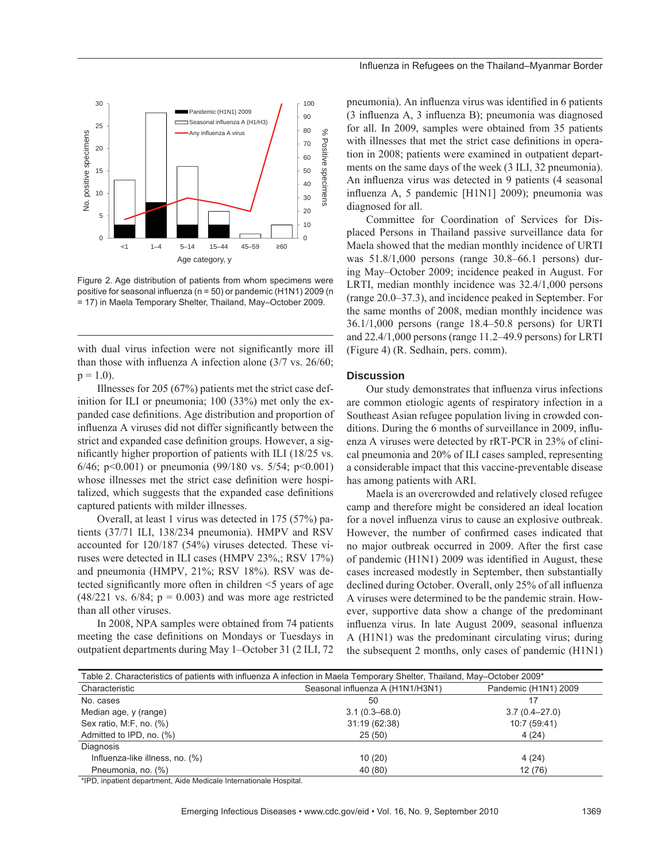

Figure 2. Age distribution of patients from whom specimens were positive for seasonal influenza ( $n = 50$ ) or pandemic (H1N1) 2009 (n = 17) in Maela Temporary Shelter, Thailand, May–October 2009.

with dual virus infection were not significantly more ill than those with influenza A infection alone  $(3/7 \text{ vs. } 26/60)$ ;  $p = 1.0$ ).

Illnesses for 205 (67%) patients met the strict case definition for ILI or pneumonia; 100 (33%) met only the expanded case definitions. Age distribution and proportion of influenza A viruses did not differ significantly between the strict and expanded case definition groups. However, a significantly higher proportion of patients with ILI  $(18/25 \text{ vs.})$ 6/46; p<0.001) or pneumonia (99/180 vs.  $5/54$ ; p<0.001) whose illnesses met the strict case definition were hospitalized, which suggests that the expanded case definitions captured patients with milder illnesses.

Overall, at least 1 virus was detected in 175 (57%) patients (37/71 ILI, 138/234 pneumonia). HMPV and RSV accounted for 120/187 (54%) viruses detected. These viruses were detected in ILI cases (HMPV 23%,; RSV 17%) and pneumonia (HMPV, 21%; RSV 18%). RSV was detected significantly more often in children  $\leq$  years of age  $(48/221 \text{ vs. } 6/84; \text{ p} = 0.003)$  and was more age restricted than all other viruses.

In 2008, NPA samples were obtained from 74 patients meeting the case definitions on Mondays or Tuesdays in outpatient departments during May 1–October 31 (2 ILI, 72 pneumonia). An influenza virus was identified in 6 patients  $(3)$  influenza A, 3 influenza B); pneumonia was diagnosed for all. In 2009, samples were obtained from 35 patients with illnesses that met the strict case definitions in operation in 2008; patients were examined in outpatient departments on the same days of the week (3 ILI, 32 pneumonia). An influenza virus was detected in 9 patients (4 seasonal influenza A, 5 pandemic [H1N1] 2009); pneumonia was diagnosed for all.

Committee for Coordination of Services for Displaced Persons in Thailand passive surveillance data for Maela showed that the median monthly incidence of URTI was 51.8/1,000 persons (range 30.8–66.1 persons) during May–October 2009; incidence peaked in August. For LRTI, median monthly incidence was 32.4/1,000 persons (range 20.0–37.3), and incidence peaked in September. For the same months of 2008, median monthly incidence was 36.1/1,000 persons (range 18.4–50.8 persons) for URTI and 22.4/1,000 persons (range 11.2–49.9 persons) for LRTI (Figure 4) (R. Sedhain, pers. comm).

#### **Discussion**

Our study demonstrates that influenza virus infections are common etiologic agents of respiratory infection in a Southeast Asian refugee population living in crowded conditions. During the 6 months of surveillance in 2009, influenza A viruses were detected by rRT-PCR in 23% of clinical pneumonia and 20% of ILI cases sampled, representing a considerable impact that this vaccine-preventable disease has among patients with ARI.

Maela is an overcrowded and relatively closed refugee camp and therefore might be considered an ideal location for a novel influenza virus to cause an explosive outbreak. However, the number of confirmed cases indicated that no major outbreak occurred in 2009. After the first case of pandemic  $(H1N1)$  2009 was identified in August, these cases increased modestly in September, then substantially declined during October. Overall, only 25% of all influenza A viruses were determined to be the pandemic strain. However, supportive data show a change of the predominant influenza virus. In late August 2009, seasonal influenza A (H1N1) was the predominant circulating virus; during the subsequent 2 months, only cases of pandemic (H1N1)

| Table 2. Characteristics of patients with influenza A infection in Maela Temporary Shelter, Thailand, May–October 2009* |                                                          |                   |  |
|-------------------------------------------------------------------------------------------------------------------------|----------------------------------------------------------|-------------------|--|
| Characteristic                                                                                                          | Pandemic (H1N1) 2009<br>Seasonal influenza A (H1N1/H3N1) |                   |  |
| No. cases                                                                                                               | 50                                                       |                   |  |
| Median age, y (range)                                                                                                   | $3.1(0.3 - 68.0)$                                        | $3.7(0.4 - 27.0)$ |  |
| Sex ratio, M:F, no. (%)                                                                                                 | 31:19(62:38)                                             | 10:7 (59:41)      |  |
| Admitted to IPD, no. (%)                                                                                                | 25(50)                                                   | 4 (24)            |  |
| Diagnosis                                                                                                               |                                                          |                   |  |
| Influenza-like illness, no. (%)                                                                                         | 10(20)                                                   | 4 (24)            |  |
| Pneumonia, no. (%)                                                                                                      | 40 (80)                                                  | 12 (76)           |  |
| ALERNA STORY OF HOLD CHOOL AND AND INVOLVING THE CONFIDENTIAL CHIEF.                                                    |                                                          |                   |  |

\*IPD, inpatient department, Aide Medicale Internationale Hospital.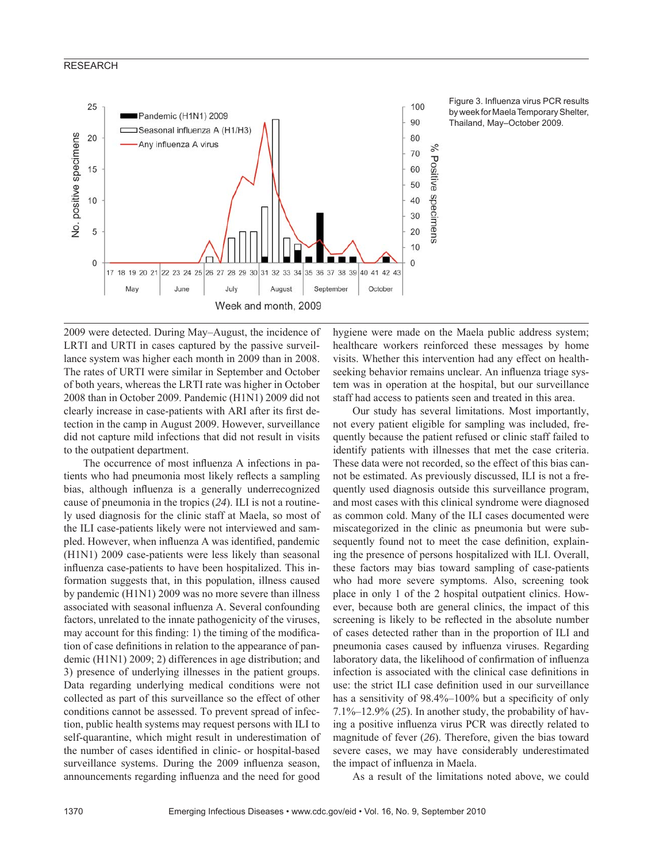# RESEARCH



Figure 3. Influenza virus PCR results by week for Maela Temporary Shelter, Thailand, May–October 2009.

2009 were detected. During May–August, the incidence of LRTI and URTI in cases captured by the passive surveillance system was higher each month in 2009 than in 2008. The rates of URTI were similar in September and October of both years, whereas the LRTI rate was higher in October 2008 than in October 2009. Pandemic (H1N1) 2009 did not clearly increase in case-patients with ARI after its first detection in the camp in August 2009. However, surveillance did not capture mild infections that did not result in visits to the outpatient department.

The occurrence of most influenza A infections in patients who had pneumonia most likely reflects a sampling bias, although influenza is a generally underrecognized cause of pneumonia in the tropics (*24*). ILI is not a routinely used diagnosis for the clinic staff at Maela, so most of the ILI case-patients likely were not interviewed and sampled. However, when influenza A was identified, pandemic (H1N1) 2009 case-patients were less likely than seasonal influenza case-patients to have been hospitalized. This information suggests that, in this population, illness caused by pandemic (H1N1) 2009 was no more severe than illness associated with seasonal influenza A. Several confounding factors, unrelated to the innate pathogenicity of the viruses, may account for this finding: 1) the timing of the modification of case definitions in relation to the appearance of pandemic (H1N1) 2009; 2) differences in age distribution; and 3) presence of underlying illnesses in the patient groups. Data regarding underlying medical conditions were not collected as part of this surveillance so the effect of other conditions cannot be assessed. To prevent spread of infection, public health systems may request persons with ILI to self-quarantine, which might result in underestimation of the number of cases identified in clinic- or hospital-based surveillance systems. During the 2009 influenza season, announcements regarding influenza and the need for good hygiene were made on the Maela public address system; healthcare workers reinforced these messages by home visits. Whether this intervention had any effect on healthseeking behavior remains unclear. An influenza triage system was in operation at the hospital, but our surveillance staff had access to patients seen and treated in this area.

Our study has several limitations. Most importantly, not every patient eligible for sampling was included, frequently because the patient refused or clinic staff failed to identify patients with illnesses that met the case criteria. These data were not recorded, so the effect of this bias cannot be estimated. As previously discussed, ILI is not a frequently used diagnosis outside this surveillance program, and most cases with this clinical syndrome were diagnosed as common cold. Many of the ILI cases documented were miscategorized in the clinic as pneumonia but were subsequently found not to meet the case definition, explaining the presence of persons hospitalized with ILI. Overall, these factors may bias toward sampling of case-patients who had more severe symptoms. Also, screening took place in only 1 of the 2 hospital outpatient clinics. However, because both are general clinics, the impact of this screening is likely to be reflected in the absolute number of cases detected rather than in the proportion of ILI and pneumonia cases caused by influenza viruses. Regarding laboratory data, the likelihood of confirmation of influenza infection is associated with the clinical case definitions in use: the strict ILI case definition used in our surveillance has a sensitivity of  $98.4\%$ -100% but a specificity of only 7.1%–12.9% (*25*). In another study, the probability of having a positive influenza virus PCR was directly related to magnitude of fever (*26*). Therefore, given the bias toward severe cases, we may have considerably underestimated the impact of influenza in Maela.

As a result of the limitations noted above, we could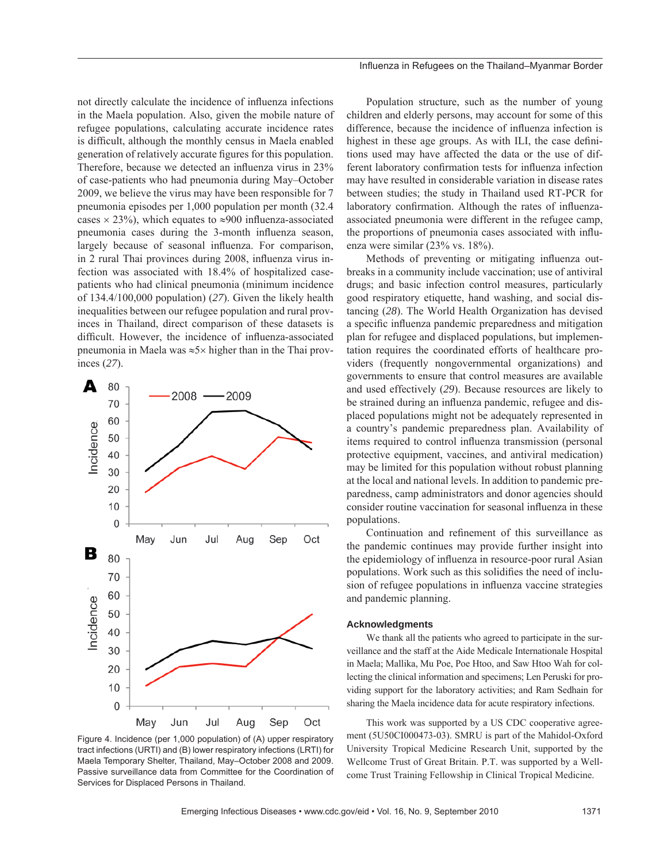not directly calculate the incidence of influenza infections in the Maela population. Also, given the mobile nature of refugee populations, calculating accurate incidence rates is difficult, although the monthly census in Maela enabled generation of relatively accurate figures for this population. Therefore, because we detected an influenza virus in 23% of case-patients who had pneumonia during May–October 2009, we believe the virus may have been responsible for 7 pneumonia episodes per 1,000 population per month (32.4 cases  $\times$  23%), which equates to  $\approx$ 900 influenza-associated pneumonia cases during the 3-month influenza season, largely because of seasonal influenza. For comparison, in 2 rural Thai provinces during 2008, influenza virus infection was associated with 18.4% of hospitalized casepatients who had clinical pneumonia (minimum incidence of 134.4/100,000 population) (*27*). Given the likely health inequalities between our refugee population and rural provinces in Thailand, direct comparison of these datasets is difficult. However, the incidence of influenza-associated pneumonia in Maela was ≈5× higher than in the Thai provinces (*27*).



Figure 4. Incidence (per 1,000 population) of (A) upper respiratory tract infections (URTI) and (B) lower respiratory infections (LRTI) for Maela Temporary Shelter, Thailand, May–October 2008 and 2009. Passive surveillance data from Committee for the Coordination of Services for Displaced Persons in Thailand.

Population structure, such as the number of young children and elderly persons, may account for some of this difference, because the incidence of influenza infection is highest in these age groups. As with ILI, the case definitions used may have affected the data or the use of different laboratory confirmation tests for influenza infection may have resulted in considerable variation in disease rates between studies; the study in Thailand used RT-PCR for laboratory confirmation. Although the rates of influenzaassociated pneumonia were different in the refugee camp, the proportions of pneumonia cases associated with influenza were similar (23% vs. 18%).

Methods of preventing or mitigating influenza outbreaks in a community include vaccination; use of antiviral drugs; and basic infection control measures, particularly good respiratory etiquette, hand washing, and social distancing (*28*). The World Health Organization has devised a specific influenza pandemic preparedness and mitigation plan for refugee and displaced populations, but implementation requires the coordinated efforts of healthcare providers (frequently nongovernmental organizations) and governments to ensure that control measures are available and used effectively (*29*). Because resources are likely to be strained during an influenza pandemic, refugee and displaced populations might not be adequately represented in a country's pandemic preparedness plan. Availability of items required to control influenza transmission (personal protective equipment, vaccines, and antiviral medication) may be limited for this population without robust planning at the local and national levels. In addition to pandemic preparedness, camp administrators and donor agencies should consider routine vaccination for seasonal influenza in these populations.

Continuation and refinement of this surveillance as the pandemic continues may provide further insight into the epidemiology of influenza in resource-poor rural Asian populations. Work such as this solidifies the need of inclusion of refugee populations in influenza vaccine strategies and pandemic planning.

#### **Acknowledgments**

We thank all the patients who agreed to participate in the surveillance and the staff at the Aide Medicale Internationale Hospital in Maela; Mallika, Mu Poe, Poe Htoo, and Saw Htoo Wah for collecting the clinical information and specimens; Len Peruski for providing support for the laboratory activities; and Ram Sedhain for sharing the Maela incidence data for acute respiratory infections.

This work was supported by a US CDC cooperative agreement (5U50CI000473-03). SMRU is part of the Mahidol-Oxford University Tropical Medicine Research Unit, supported by the Wellcome Trust of Great Britain. P.T. was supported by a Wellcome Trust Training Fellowship in Clinical Tropical Medicine.